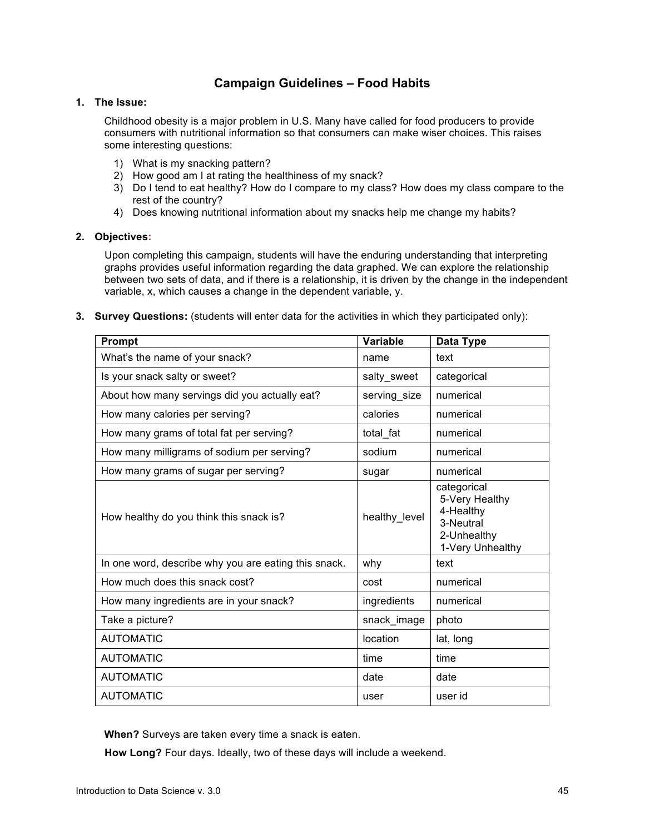# **Campaign Guidelines – Food Habits**

## **1. The Issue:**

Childhood obesity is a major problem in U.S. Many have called for food producers to provide consumers with nutritional information so that consumers can make wiser choices. This raises some interesting questions:

- 1) What is my snacking pattern?
- 2) How good am I at rating the healthiness of my snack?
- 3) Do I tend to eat healthy? How do I compare to my class? How does my class compare to the rest of the country?
- 4) Does knowing nutritional information about my snacks help me change my habits?

### **2. Objectives:**

Upon completing this campaign, students will have the enduring understanding that interpreting graphs provides useful information regarding the data graphed. We can explore the relationship between two sets of data, and if there is a relationship, it is driven by the change in the independent variable, x, which causes a change in the dependent variable, y.

**3. Survey Questions:** (students will enter data for the activities in which they participated only):

| <b>Prompt</b>                                        | <b>Variable</b> | Data Type                                                                                  |
|------------------------------------------------------|-----------------|--------------------------------------------------------------------------------------------|
| What's the name of your snack?                       | name            | text                                                                                       |
| Is your snack salty or sweet?                        | salty_sweet     | categorical                                                                                |
| About how many servings did you actually eat?        | serving size    | numerical                                                                                  |
| How many calories per serving?                       | calories        | numerical                                                                                  |
| How many grams of total fat per serving?             | total fat       | numerical                                                                                  |
| How many milligrams of sodium per serving?           | sodium          | numerical                                                                                  |
| How many grams of sugar per serving?                 | sugar           | numerical                                                                                  |
| How healthy do you think this snack is?              | healthy_level   | categorical<br>5-Very Healthy<br>4-Healthy<br>3-Neutral<br>2-Unhealthy<br>1-Very Unhealthy |
| In one word, describe why you are eating this snack. | why             | text                                                                                       |
| How much does this snack cost?                       | cost            | numerical                                                                                  |
| How many ingredients are in your snack?              | ingredients     | numerical                                                                                  |
| Take a picture?                                      | snack_image     | photo                                                                                      |
| <b>AUTOMATIC</b>                                     | location        | lat, long                                                                                  |
| <b>AUTOMATIC</b>                                     | time            | time                                                                                       |
| <b>AUTOMATIC</b>                                     | date            | date                                                                                       |
| <b>AUTOMATIC</b>                                     | user            | user id                                                                                    |

**When?** Surveys are taken every time a snack is eaten.

**How Long?** Four days. Ideally, two of these days will include a weekend.